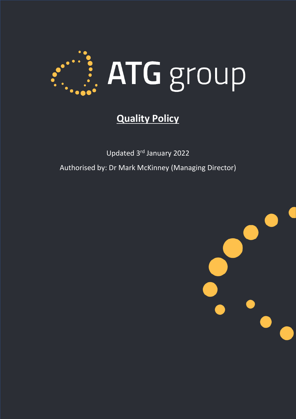

## **Quality Policy**

Updated 3rd January 2022 Authorised by: Dr Mark McKinney (Managing Director)